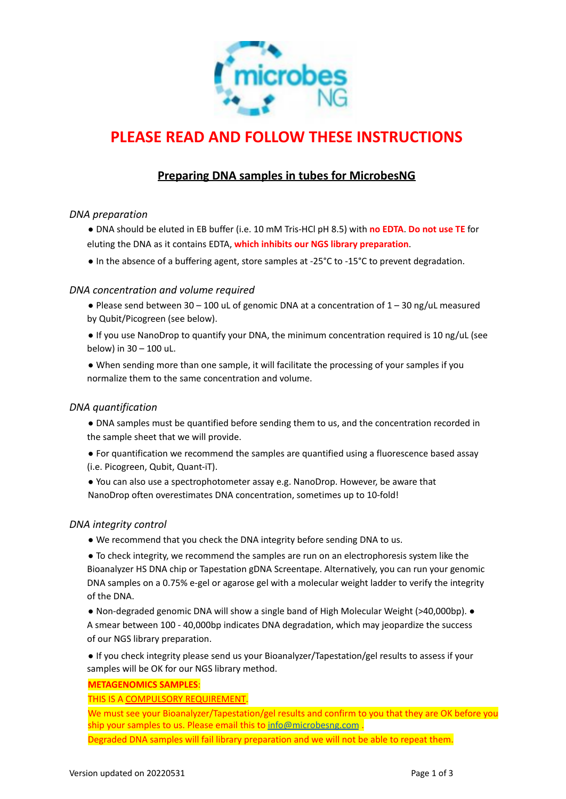

# **PLEASE READ AND FOLLOW THESE INSTRUCTIONS**

# **Preparing DNA samples in tubes for MicrobesNG**

# *DNA preparation*

- DNA should be eluted in EB buffer (i.e. 10 mM Tris-HCl pH 8.5) with **no EDTA**. **Do not use TE** for eluting the DNA as it contains EDTA, **which inhibits our NGS library preparation**.
- In the absence of a buffering agent, store samples at -25°C to -15°C to prevent degradation.

# *DNA concentration and volume required*

- Please send between 30 100 uL of genomic DNA at a concentration of 1 30 ng/uL measured by Qubit/Picogreen (see below).
- If you use NanoDrop to quantify your DNA, the minimum concentration required is 10 ng/uL (see below) in 30 – 100 uL.
- When sending more than one sample, it will facilitate the processing of your samples if you normalize them to the same concentration and volume.

#### *DNA quantification*

- DNA samples must be quantified before sending them to us, and the concentration recorded in the sample sheet that we will provide.
- For quantification we recommend the samples are quantified using a fluorescence based assay (i.e. Picogreen, Qubit, Quant-iT).
- You can also use a spectrophotometer assay e.g. NanoDrop. However, be aware that NanoDrop often overestimates DNA concentration, sometimes up to 10-fold!

#### *DNA integrity control*

- We recommend that you check the DNA integrity before sending DNA to us.
- To check integrity, we recommend the samples are run on an electrophoresis system like the Bioanalyzer HS DNA chip or Tapestation gDNA Screentape. Alternatively, you can run your genomic DNA samples on a 0.75% e-gel or agarose gel with a molecular weight ladder to verify the integrity of the DNA.
- Non-degraded genomic DNA will show a single band of High Molecular Weight (>40,000bp). A smear between 100 - 40,000bp indicates DNA degradation, which may jeopardize the success of our NGS library preparation.
- If you check integrity please send us your Bioanalyzer/Tapestation/gel results to assess if your samples will be OK for our NGS library method.

#### **METAGENOMICS SAMPLES**:

#### THIS IS A COMPULSORY REQUIREMENT.

We must see your Bioanalyzer/Tapestation/gel results and confirm to you that they are OK before you ship your samples to us. Please email this to [info@microbesng.com](mailto:info@microbesng.com). Degraded DNA samples will fail library preparation and we will not be able to repeat them.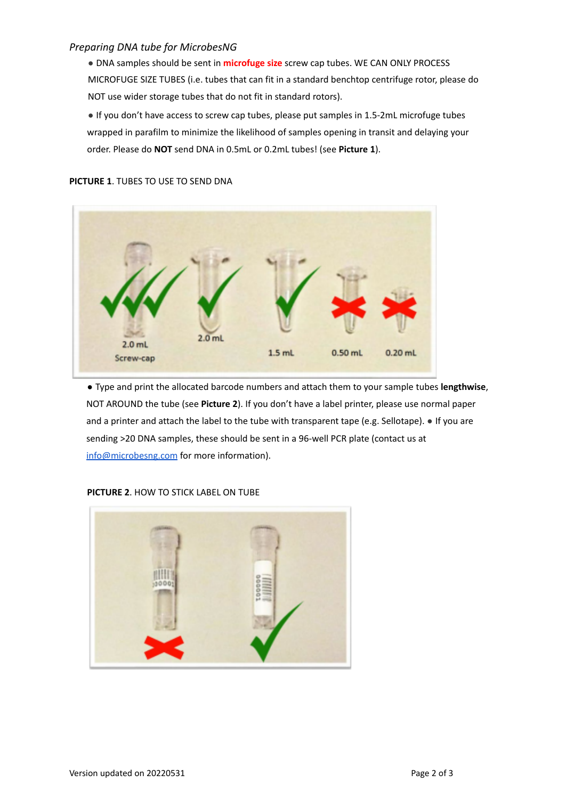# *Preparing DNA tube for MicrobesNG*

● DNA samples should be sent in **microfuge size** screw cap tubes. WE CAN ONLY PROCESS MICROFUGE SIZE TUBES (i.e. tubes that can fit in a standard benchtop centrifuge rotor, please do NOT use wider storage tubes that do not fit in standard rotors).

● If you don't have access to screw cap tubes, please put samples in 1.5-2mL microfuge tubes wrapped in parafilm to minimize the likelihood of samples opening in transit and delaying your order. Please do **NOT** send DNA in 0.5mL or 0.2mL tubes! (see **Picture 1**).

### **PICTURE 1**. TUBES TO USE TO SEND DNA



● Type and print the allocated barcode numbers and attach them to your sample tubes **lengthwise**, NOT AROUND the tube (see **Picture 2**). If you don't have a label printer, please use normal paper and a printer and attach the label to the tube with transparent tape (e.g. Sellotape). • If you are sending >20 DNA samples, these should be sent in a 96-well PCR plate (contact us at info@microbesng.com for more information).



#### **PICTURE 2**. HOW TO STICK LABEL ON TUBE